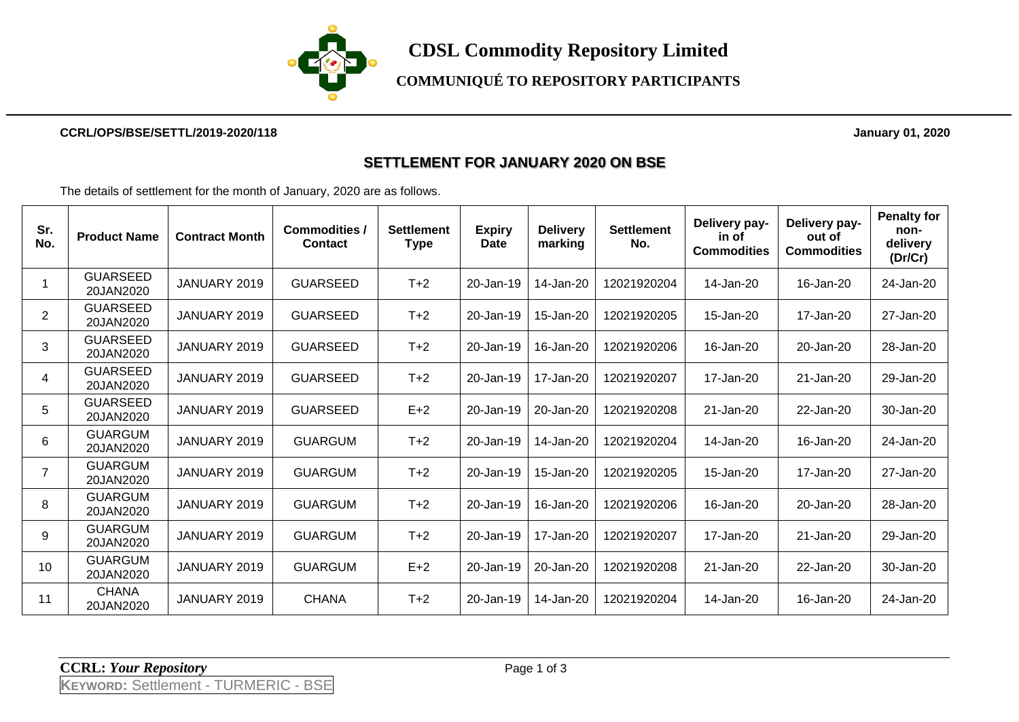

**CDSL Commodity Repository Limited**

**COMMUNIQUÉ TO REPOSITORY PARTICIPANTS**

#### **CCRL/OPS/BSE/SETTL/2019-2020/118 January 01, 2020**

#### **SETTLEMENT FOR JANUARY 2020 ON BSE**

The details of settlement for the month of January, 2020 are as follows.

| Sr.<br>No.     | <b>Product Name</b>          | <b>Contract Month</b> | <b>Commodities /</b><br><b>Contact</b> | <b>Settlement</b><br><b>Type</b> | <b>Expiry</b><br><b>Date</b> | <b>Delivery</b><br>marking | <b>Settlement</b><br>No. | Delivery pay-<br>in of<br><b>Commodities</b> | Delivery pay-<br>out of<br><b>Commodities</b> | <b>Penalty for</b><br>non-<br>delivery<br>(Dr/Cr) |
|----------------|------------------------------|-----------------------|----------------------------------------|----------------------------------|------------------------------|----------------------------|--------------------------|----------------------------------------------|-----------------------------------------------|---------------------------------------------------|
|                | <b>GUARSEED</b><br>20JAN2020 | JANUARY 2019          | <b>GUARSEED</b>                        | $T+2$                            | 20-Jan-19                    | 14-Jan-20                  | 12021920204              | 14-Jan-20                                    | 16-Jan-20                                     | 24-Jan-20                                         |
| $\overline{2}$ | <b>GUARSEED</b><br>20JAN2020 | JANUARY 2019          | <b>GUARSEED</b>                        | $T+2$                            | 20-Jan-19                    | 15-Jan-20                  | 12021920205              | 15-Jan-20                                    | 17-Jan-20                                     | 27-Jan-20                                         |
| 3              | <b>GUARSEED</b><br>20JAN2020 | JANUARY 2019          | <b>GUARSEED</b>                        | $T+2$                            | 20-Jan-19                    | 16-Jan-20                  | 12021920206              | 16-Jan-20                                    | 20-Jan-20                                     | 28-Jan-20                                         |
| 4              | <b>GUARSEED</b><br>20JAN2020 | JANUARY 2019          | <b>GUARSEED</b>                        | $T+2$                            | 20-Jan-19                    | 17-Jan-20                  | 12021920207              | 17-Jan-20                                    | 21-Jan-20                                     | 29-Jan-20                                         |
| 5              | <b>GUARSEED</b><br>20JAN2020 | JANUARY 2019          | <b>GUARSEED</b>                        | $E+2$                            | 20-Jan-19                    | 20-Jan-20                  | 12021920208              | 21-Jan-20                                    | 22-Jan-20                                     | 30-Jan-20                                         |
| 6              | <b>GUARGUM</b><br>20JAN2020  | JANUARY 2019          | <b>GUARGUM</b>                         | $T+2$                            | 20-Jan-19                    | 14-Jan-20                  | 12021920204              | 14-Jan-20                                    | 16-Jan-20                                     | 24-Jan-20                                         |
| $\overline{7}$ | <b>GUARGUM</b><br>20JAN2020  | JANUARY 2019          | <b>GUARGUM</b>                         | $T+2$                            | 20-Jan-19                    | 15-Jan-20                  | 12021920205              | 15-Jan-20                                    | 17-Jan-20                                     | 27-Jan-20                                         |
| 8              | <b>GUARGUM</b><br>20JAN2020  | JANUARY 2019          | <b>GUARGUM</b>                         | $T+2$                            | 20-Jan-19                    | 16-Jan-20                  | 12021920206              | 16-Jan-20                                    | 20-Jan-20                                     | 28-Jan-20                                         |
| 9              | <b>GUARGUM</b><br>20JAN2020  | JANUARY 2019          | <b>GUARGUM</b>                         | $T+2$                            | 20-Jan-19                    | 17-Jan-20                  | 12021920207              | 17-Jan-20                                    | 21-Jan-20                                     | 29-Jan-20                                         |
| 10             | <b>GUARGUM</b><br>20JAN2020  | JANUARY 2019          | <b>GUARGUM</b>                         | $E+2$                            | 20-Jan-19                    | 20-Jan-20                  | 12021920208              | 21-Jan-20                                    | 22-Jan-20                                     | 30-Jan-20                                         |
| 11             | <b>CHANA</b><br>20JAN2020    | JANUARY 2019          | <b>CHANA</b>                           | $T+2$                            | 20-Jan-19                    | 14-Jan-20                  | 12021920204              | 14-Jan-20                                    | 16-Jan-20                                     | 24-Jan-20                                         |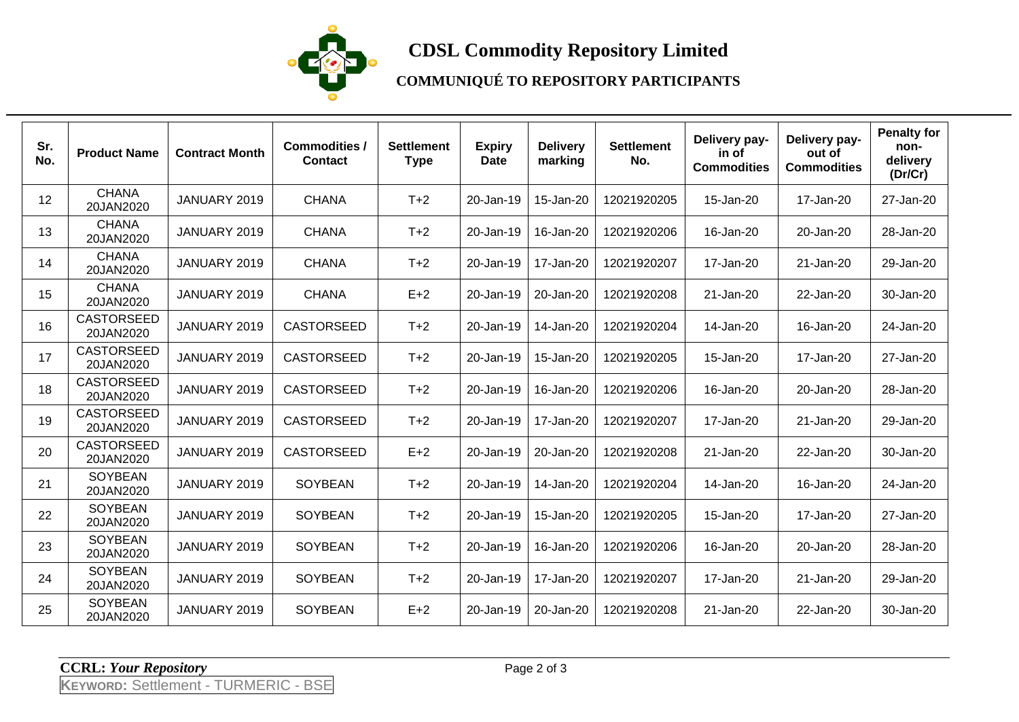

# **CDSL Commodity Repository Limited**

### **COMMUNIQUÉ TO REPOSITORY PARTICIPANTS**

| Sr.<br>No. | <b>Product Name</b>            | <b>Contract Month</b> | <b>Commodities /</b><br><b>Contact</b> | <b>Settlement</b><br><b>Type</b> | <b>Expiry</b><br><b>Date</b> | <b>Delivery</b><br>marking | <b>Settlement</b><br>No. | Delivery pay-<br>in of<br><b>Commodities</b> | Delivery pay-<br>out of<br><b>Commodities</b> | <b>Penalty for</b><br>non-<br>delivery<br>(Dr/Cr) |
|------------|--------------------------------|-----------------------|----------------------------------------|----------------------------------|------------------------------|----------------------------|--------------------------|----------------------------------------------|-----------------------------------------------|---------------------------------------------------|
| 12         | <b>CHANA</b><br>20JAN2020      | JANUARY 2019          | <b>CHANA</b>                           | $T+2$                            | 20-Jan-19                    | 15-Jan-20                  | 12021920205              | 15-Jan-20                                    | 17-Jan-20                                     | 27-Jan-20                                         |
| 13         | <b>CHANA</b><br>20JAN2020      | JANUARY 2019          | <b>CHANA</b>                           | $T+2$                            | 20-Jan-19                    | 16-Jan-20                  | 12021920206              | 16-Jan-20                                    | 20-Jan-20                                     | 28-Jan-20                                         |
| 14         | <b>CHANA</b><br>20JAN2020      | JANUARY 2019          | <b>CHANA</b>                           | $T+2$                            | 20-Jan-19                    | 17-Jan-20                  | 12021920207              | 17-Jan-20                                    | 21-Jan-20                                     | 29-Jan-20                                         |
| 15         | <b>CHANA</b><br>20JAN2020      | JANUARY 2019          | <b>CHANA</b>                           | $E+2$                            | 20-Jan-19                    | 20-Jan-20                  | 12021920208              | 21-Jan-20                                    | 22-Jan-20                                     | 30-Jan-20                                         |
| 16         | <b>CASTORSEED</b><br>20JAN2020 | JANUARY 2019          | <b>CASTORSEED</b>                      | $T+2$                            | 20-Jan-19                    | 14-Jan-20                  | 12021920204              | 14-Jan-20                                    | 16-Jan-20                                     | 24-Jan-20                                         |
| 17         | <b>CASTORSEED</b><br>20JAN2020 | JANUARY 2019          | CASTORSEED                             | $T+2$                            | 20-Jan-19                    | 15-Jan-20                  | 12021920205              | 15-Jan-20                                    | 17-Jan-20                                     | 27-Jan-20                                         |
| 18         | <b>CASTORSEED</b><br>20JAN2020 | JANUARY 2019          | CASTORSEED                             | $T+2$                            | 20-Jan-19                    | 16-Jan-20                  | 12021920206              | 16-Jan-20                                    | 20-Jan-20                                     | 28-Jan-20                                         |
| 19         | <b>CASTORSEED</b><br>20JAN2020 | JANUARY 2019          | <b>CASTORSEED</b>                      | $T+2$                            | 20-Jan-19                    | 17-Jan-20                  | 12021920207              | 17-Jan-20                                    | 21-Jan-20                                     | 29-Jan-20                                         |
| 20         | <b>CASTORSEED</b><br>20JAN2020 | JANUARY 2019          | <b>CASTORSEED</b>                      | $E+2$                            | 20-Jan-19                    | 20-Jan-20                  | 12021920208              | 21-Jan-20                                    | 22-Jan-20                                     | 30-Jan-20                                         |
| 21         | <b>SOYBEAN</b><br>20JAN2020    | JANUARY 2019          | SOYBEAN                                | $T+2$                            | 20-Jan-19                    | 14-Jan-20                  | 12021920204              | 14-Jan-20                                    | 16-Jan-20                                     | 24-Jan-20                                         |
| 22         | <b>SOYBEAN</b><br>20JAN2020    | JANUARY 2019          | SOYBEAN                                | $T+2$                            | 20-Jan-19                    | 15-Jan-20                  | 12021920205              | 15-Jan-20                                    | 17-Jan-20                                     | 27-Jan-20                                         |
| 23         | <b>SOYBEAN</b><br>20JAN2020    | JANUARY 2019          | SOYBEAN                                | $T+2$                            | 20-Jan-19                    | 16-Jan-20                  | 12021920206              | 16-Jan-20                                    | 20-Jan-20                                     | 28-Jan-20                                         |
| 24         | <b>SOYBEAN</b><br>20JAN2020    | JANUARY 2019          | SOYBEAN                                | $T+2$                            | 20-Jan-19                    | 17-Jan-20                  | 12021920207              | 17-Jan-20                                    | 21-Jan-20                                     | 29-Jan-20                                         |
| 25         | <b>SOYBEAN</b><br>20JAN2020    | JANUARY 2019          | SOYBEAN                                | $E+2$                            | 20-Jan-19                    | 20-Jan-20                  | 12021920208              | 21-Jan-20                                    | 22-Jan-20                                     | 30-Jan-20                                         |

**CCRL:** *Your Repository* Page 2 of 3

**KEYWORD:** Settlement - TURMERIC - BSE